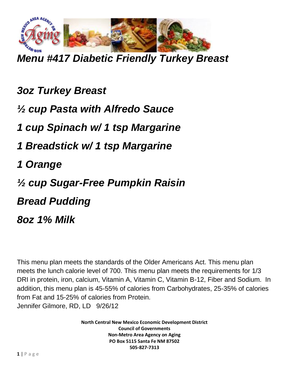

*Menu #417 Diabetic Friendly Turkey Breast*

*3oz Turkey Breast ½ cup Pasta with Alfredo Sauce 1 cup Spinach w/ 1 tsp Margarine 1 Breadstick w/ 1 tsp Margarine 1 Orange ½ cup Sugar-Free Pumpkin Raisin Bread Pudding 8oz 1% Milk*

This menu plan meets the standards of the Older Americans Act. This menu plan meets the lunch calorie level of 700. This menu plan meets the requirements for 1/3 DRI in protein, iron, calcium, Vitamin A, Vitamin C, Vitamin B-12, Fiber and Sodium. In addition, this menu plan is 45-55% of calories from Carbohydrates, 25-35% of calories from Fat and 15-25% of calories from Protein. Jennifer Gilmore, RD, LD 9/26/12

> **North Central New Mexico Economic Development District Council of Governments Non-Metro Area Agency on Aging PO Box 5115 Santa Fe NM 87502 505-827-7313**